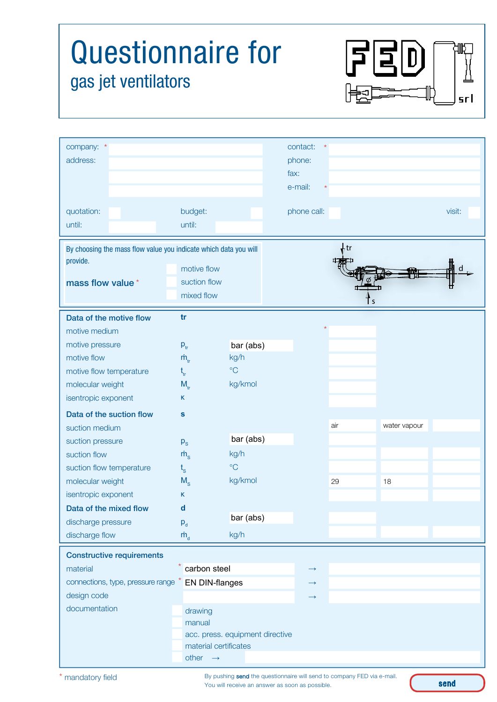| <b>Questionnaire for</b><br>$\mathsf{I}$<br>gas jet ventilators<br>srl                                                                                                                                                  |                                                                                                                                                      |                                                                      |                                                     |           |                    |        |
|-------------------------------------------------------------------------------------------------------------------------------------------------------------------------------------------------------------------------|------------------------------------------------------------------------------------------------------------------------------------------------------|----------------------------------------------------------------------|-----------------------------------------------------|-----------|--------------------|--------|
| company: *<br>address:                                                                                                                                                                                                  |                                                                                                                                                      |                                                                      | contact:<br>$\star$<br>phone:<br>fax:<br>e-mail:    |           |                    |        |
| quotation:<br>until:                                                                                                                                                                                                    | budget:<br>until:                                                                                                                                    |                                                                      | phone call:                                         |           |                    | visit: |
| provide.<br>mass flow value*                                                                                                                                                                                            | By choosing the mass flow value you indicate which data you will<br>motive flow<br>suction flow<br>mixed flow                                        |                                                                      | ۰tr                                                 |           |                    |        |
| Data of the motive flow<br>motive medium<br>motive pressure<br>motive flow<br>motive flow temperature<br>molecular weight<br>isentropic exponent                                                                        | tr<br>$P_{tr}$<br>$\dot{m}_{\rm tr}$<br>$t_{tr}$<br>$M_{tr}$<br>Κ                                                                                    | bar (abs)<br>kg/h<br>$\rm ^{\circ}C$<br>kg/kmol                      |                                                     |           |                    |        |
| Data of the suction flow<br>suction medium<br>suction pressure<br>suction flow<br>suction flow temperature<br>molecular weight<br>isentropic exponent<br>Data of the mixed flow<br>discharge pressure<br>discharge flow | $\mathbf{s}$<br>$p_{\rm s}$<br>$\dot{m}$ <sub>s</sub><br>$t_{\rm s}$<br>$M_{\rm s}$<br>K.<br>$\mathbf d$<br>$P_d$<br>$\dot{\mathsf{m}}_{\mathsf{d}}$ | bar (abs)<br>kg/h<br>$\rm ^{\circ}C$<br>kg/kmol<br>bar (abs)<br>kg/h |                                                     | air<br>29 | water vapour<br>18 |        |
| <b>Constructive requirements</b><br>material<br>connections, type, pressure range * EN DIN-flanges<br>design code<br>documentation                                                                                      | carbon steel<br>drawing<br>manual<br>other $\rightarrow$                                                                                             | acc. press. equipment directive<br>material certificates             | $\longrightarrow$<br>$\rightarrow$<br>$\rightarrow$ |           |                    |        |

By pushing send the questionnaire will send to company FED via e-mail. You will receive an answer as soon as possible.

send